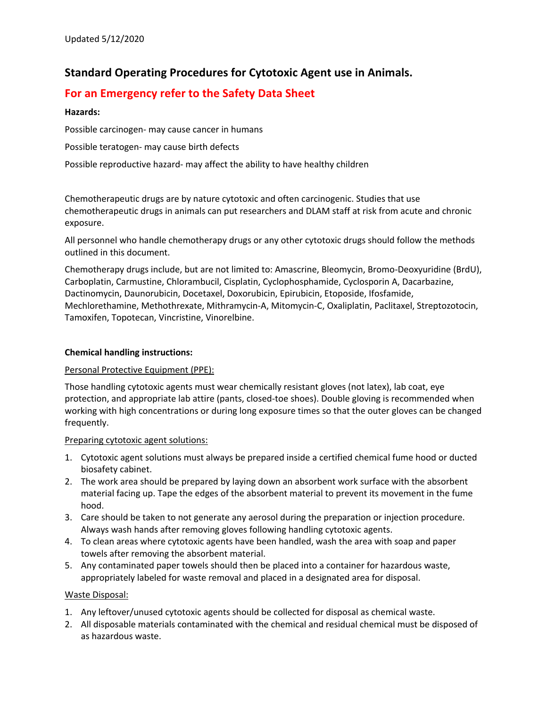# **Standard Operating Procedures for Cytotoxic Agent use in Animals.**

## **For an Emergency refer to the Safety Data Sheet**

#### **Hazards:**

Possible carcinogen- may cause cancer in humans

Possible teratogen- may cause birth defects

Possible reproductive hazard- may affect the ability to have healthy children

Chemotherapeutic drugs are by nature cytotoxic and often carcinogenic. Studies that use chemotherapeutic drugs in animals can put researchers and DLAM staff at risk from acute and chronic exposure.

All personnel who handle chemotherapy drugs or any other cytotoxic drugs should follow the methods outlined in this document.

Chemotherapy drugs include, but are not limited to: Amascrine, Bleomycin, Bromo-Deoxyuridine (BrdU), Carboplatin, Carmustine, Chlorambucil, Cisplatin, Cyclophosphamide, Cyclosporin A, Dacarbazine, Dactinomycin, Daunorubicin, Docetaxel, Doxorubicin, Epirubicin, Etoposide, Ifosfamide, Mechlorethamine, Methothrexate, Mithramycin-A, Mitomycin-C, Oxaliplatin, Paclitaxel, Streptozotocin, Tamoxifen, Topotecan, Vincristine, Vinorelbine.

#### **Chemical handling instructions:**

#### Personal Protective Equipment (PPE):

Those handling cytotoxic agents must wear chemically resistant gloves (not latex), lab coat, eye protection, and appropriate lab attire (pants, closed-toe shoes). Double gloving is recommended when working with high concentrations or during long exposure times so that the outer gloves can be changed frequently.

#### Preparing cytotoxic agent solutions:

- 1. Cytotoxic agent solutions must always be prepared inside a certified chemical fume hood or ducted biosafety cabinet.
- 2. The work area should be prepared by laying down an absorbent work surface with the absorbent material facing up. Tape the edges of the absorbent material to prevent its movement in the fume hood.
- 3. Care should be taken to not generate any aerosol during the preparation or injection procedure. Always wash hands after removing gloves following handling cytotoxic agents.
- 4. To clean areas where cytotoxic agents have been handled, wash the area with soap and paper towels after removing the absorbent material.
- 5. Any contaminated paper towels should then be placed into a container for hazardous waste, appropriately labeled for waste removal and placed in a designated area for disposal.

#### Waste Disposal:

- 1. Any leftover/unused cytotoxic agents should be collected for disposal as chemical waste.
- 2. All disposable materials contaminated with the chemical and residual chemical must be disposed of as hazardous waste.